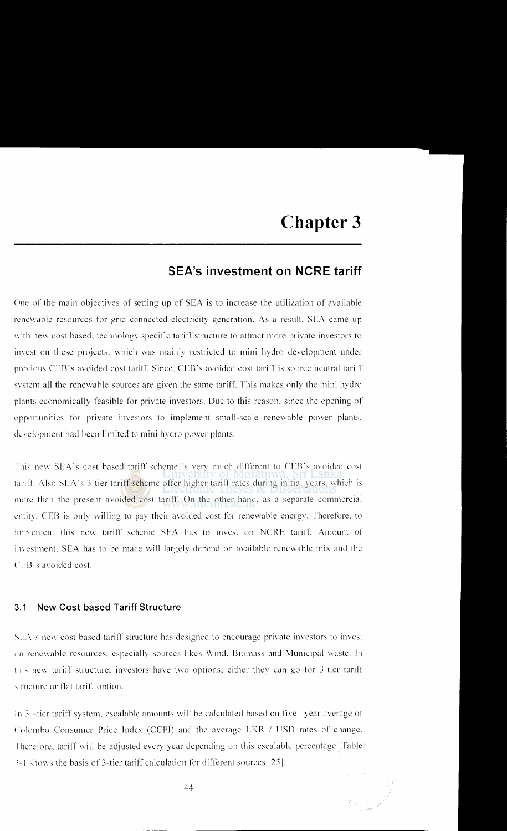# **SEA's investment on NCRE tariff**

One of the main objectives of setting up of SEA is to increase the utilization of available renewable resources for grid connected electricity generation. As a result, SEA came up with new cost based, technology specific tariff structure to attract more private investors to im est on these projects. which was mainly restricted to mini hydro development under previous CEB's avoided cost tariff. Since. CEB's avoided cost tariff is source neutral tariff system all the renewable sources are given the same tariff. This makes only the mini hydro plants economically feasible for private investors. Due to this reason. since the opening of upportunities for private investors to implement small-scale renewable power plants. development had been limited to mini hydro power plants.

This new SEA's cost based tariff scheme is very much different to CEB's avoided cost tariff. Also SEA's 3-tier tariff scheme offer higher tariff rates during initial years, which is more than the present avoided cost tariff. On the other hand, as a separate commercial cntit). CEB is only \Villing to pay their avoided cost for renewable energy. Therefore. to implement this new tariff scheme SEA has to invest on NCRE tariff. Amount of investment, SEA has to be made will largely depend on available renewable mix and the CEB's avoided cost.

#### 3.1 **New Cost based Tariff Structure**

SEA's new cost based tariff structure has designed to encourage private investors to invest on renewable resources, especially sources likes Wind. Biomass and Municipal waste. In this new tariff structure, investors have two options: either they can go for 3-tier tariff structure or flat tariff option.

In  $3$  -tier tariff system, escalable amounts will be calculated based on five -year average of Colombo Consumer Price Index (CCPI) and the average LKR / USD rates of change. Therefore, tariff will be adjusted every year depending on this escalable percentage. Table  $3-1$  shows the basis of 3-ticr tariff calculation for different sources [25].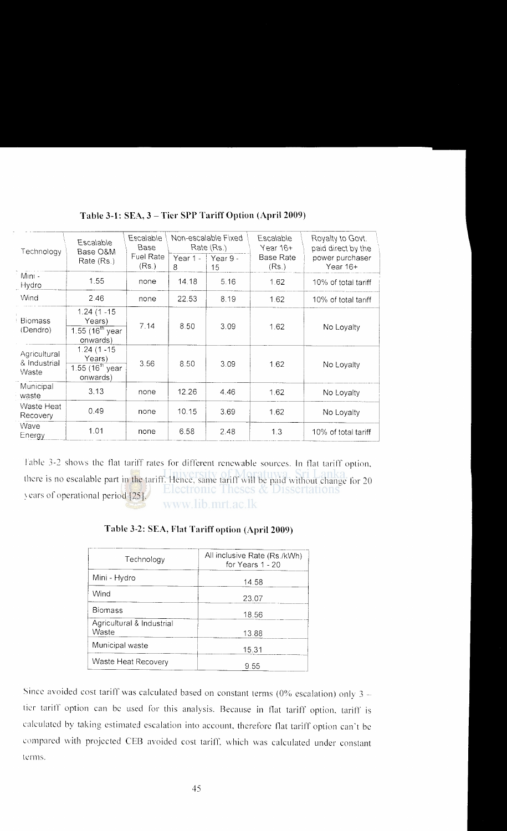| Technology                            | Escalable<br>Base O&M                                        | Escalable<br>Base         | Non-escalable Fixed<br>Rate (Rs.) |                             | Escalable<br>Year 16+     | Royalty to Govt.<br>paid direct by the |
|---------------------------------------|--------------------------------------------------------------|---------------------------|-----------------------------------|-----------------------------|---------------------------|----------------------------------------|
|                                       | Rate (Rs.)                                                   | <b>Fuel Rate</b><br>(Rs.) | 8                                 | Year $1 - 1$ Year 9 -<br>15 | <b>Base Rate</b><br>(Rs.) | power purchaser<br>Year 16+            |
| M <sub>in1</sub><br>Hydro             | 1.55                                                         | none                      | 14.18                             | 5.16                        | 1.62                      | 10% of total tariff                    |
| Wind                                  | 2.46                                                         | none                      | 22.53                             | 8.19                        | 1.62                      | 10% of total tariff                    |
| <b>Biomass</b><br>(Dendro)            | $1.24(1 - 15)$<br>Years)<br>$1.55(16^{th}$ year<br>onwards)  | 7.14                      | 8.50                              | 3.09                        | 1.62                      | No Loyalty                             |
| Agricultural<br>& Industrial<br>Waste | $1.24(1 - 15)$<br>Years)<br>1.55 $(16^{th}$ year<br>onwards) | 3.56                      | 8.50                              | 3.09                        | 1.62                      | No Loyalty                             |
| Municipal<br>waste                    | 3.13                                                         | none                      | 12.26                             | 4.46                        | 1.62                      | No Loyalty                             |
| Waste Heat<br>Recovery                | 0.49                                                         | none                      | 10.15                             | 3.69                        | 1.62                      | No Loyalty                             |
| Wave<br>Energy                        | 1.01                                                         | none                      | 6.58                              | 2.48                        | 1.3                       | 10% of total tariff                    |

## **Table 3-1: SEA, 3 -Tier SPP Tariff Option (April 2009)**

Table 3-2 shows the flat tariff rates for different renewable sources. In flat tariff option, there is no escalable part in the tariff. Hence, same tariff will be paid without change for 20 Electronic Theses & Dissertations  $\sqrt{25}$ . www.lib.mrt.ac.lk

#### **Table** 3-2: **SEA, Flat Tariff option (April2009)**

| Technology                         | All inclusive Rate (Rs./kWh)<br>for Years 1 - 20 |
|------------------------------------|--------------------------------------------------|
| Mini - Hydro                       | 14.58                                            |
| Wind                               | 23.07                                            |
| <b>Biomass</b>                     | 18.56                                            |
| Agricultural & Industrial<br>Waste | 13.88                                            |
| Municipal waste                    | 15.31                                            |
| Waste Heat Recovery                | 9.55                                             |

Since avoided cost tariff was calculated based on constant terms ( $0\%$  escalation) only 3 tier tariff option can be used for this analysis. Because in flat tariff option, tariff is calculated by taking estimated escalation into account. therefore flat tariff option can"t be compared with projected CEB avoided cost tariff, which was calculated under constant terms.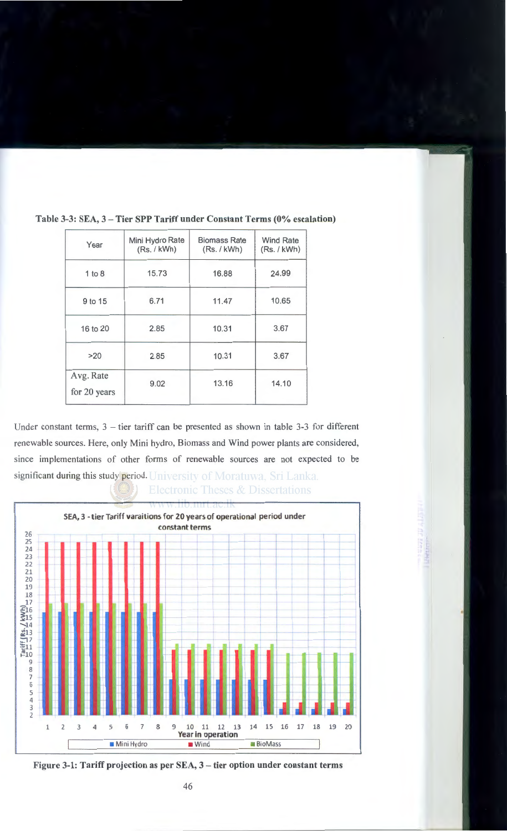| Year                      | Mini Hydro Rate<br>(Rs. / kWh) | <b>Biomass Rate</b><br>(Rs. / kWh) | <b>Wind Rate</b><br>(Rs. / kWh) |
|---------------------------|--------------------------------|------------------------------------|---------------------------------|
| 1 to 8                    | 16.88<br>15.73                 |                                    | 24.99                           |
| 9 to 15                   | 6.71                           | 11.47                              | 10.65                           |
| 16 to 20                  | 2.85                           | 10.31                              | 3.67                            |
| >20                       | 2.85                           | 10.31                              | 3.67                            |
| Avg. Rate<br>for 20 years | 9.02                           | 13.16                              | 14.10                           |

**Table 3-3: SEA, 3- Tier SPP Tariff under Constant Terms (0% escalation)** 

Under constant terms,  $3$  – tier tariff can be presented as shown in table  $3-3$  for different renewable sources. Here, only Mini hydro, Biomass and Wind power plants are considered, since implementations of other forms of renewable sources are not expected to be significant during this study period. University of Moratuwa, Sri Lanka.





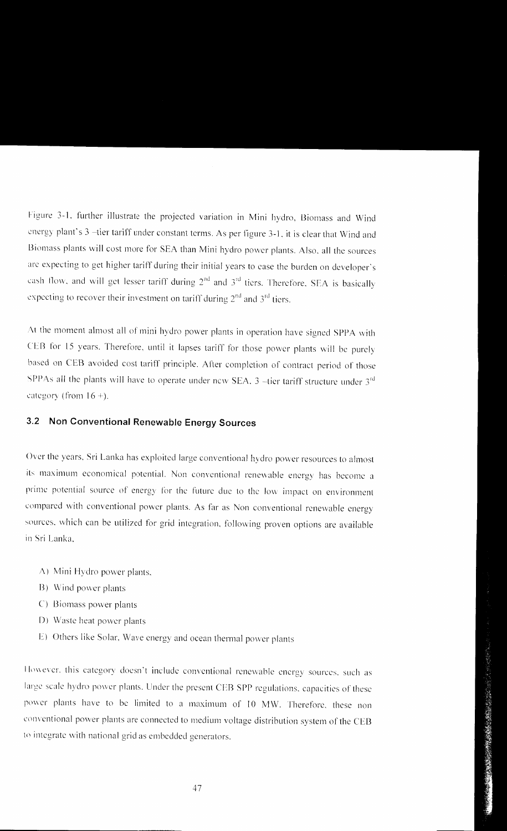Figure 3-1. further illustrate the projected variation in Mini hydro, Biomass and Wind energy plant's 3 -tier tariff under constant terms. As per figure 3-l. it is clear that Wind and Biomass plants will cost more for SEA than Mini hydro power plants. Also, all the sources arc expecting to get higher tariff during their initial years to case the burden on dcveloper·s cash flow, and will get lesser tariff during  $2<sup>nd</sup>$  and  $3<sup>rd</sup>$  tiers. Therefore, SEA is basically expecting to recover their investment on tariff during  $2<sup>nd</sup>$  and  $3<sup>rd</sup>$  tiers.

At the moment almost all of mini hydro power plants in operation have signed SPPA with CEB for 15 years. Therefore, until it lapses tariff for those power plants will be purely based on CEB avoided cost tariff principle. After completion of contract period of those SPPAs all the plants will have to operate under new SEA. 3 --tier tariff structure under  $3<sup>rd</sup>$ category (from  $16 +$ ).

# 3.2 **Non Conventional Renewable Energy Sources**

Over the years, Sri Lanka has exploited large conventional hydro power resources to almost its maximum economical potential. Non conventional renewable energy has become a prime potential source of energy for the future due to the low impact on environment compared with conventional power plants. As far as Non conventional renewable energy sources, which can be utilized for grid integration, following proven options are available in Sri Lanka.

- A) Mini Hydro power plants,
- B) Wind power plants
- C) Biomass power plants
- D) Waste heat power plants
- E) Others like Solar. Wave energy and ocean thermal power plants

However, this category doesn't include conventional renewable energy sources, such as large scale hydro power plants. Under the present CEB SPP regulations, capacities of these power plants have to be limited to a maximum of 10 MW. Therefore, these non conventional power plants are connected to medium voltage distribution system of the CEB to integrate with national grid as embedded generators.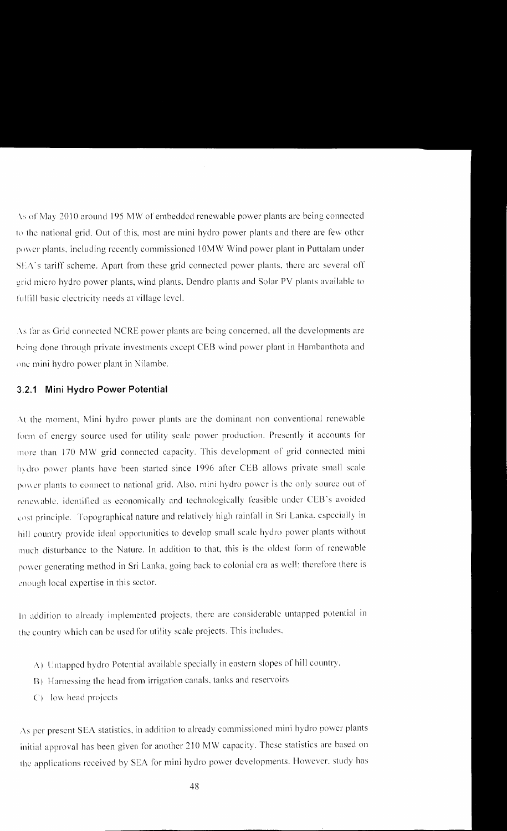\~of' May 20 I 0 around 195 MW or embedded renewable power plants arc being connected to the national grid. Out of this, most are mini hydro power plants and there are few other power plants, including recently commissioned 10MW Wind power plant in Puttalam under  $SEA$ 's tariff scheme. Apart from these grid connected power plants, there arc several off grid micro hydro power plants, wind plants, Dendro plants and Solar PV plants available to fulfill basic electricity needs at village level.

As far as Grid connected NCRE power plants are being concerned, all the developments are being done through private investments except CEB wind power plant in Hambanthota and one mini hydro power plant in Nilambe.

#### **3.2.1 Mini Hydro Power Potential**

At the moment, Mini hydro power plants are the dominant non conventional renewable form of energy source used for utility scale power production. Presently it accounts for more than 170 MW grid connected capacity. This development of grid connected mini hydro power plants have been started since 1996 after CEB allows private small scale power plants to connect to national grid. Also, mini hydro power is the only source out of renewable, identified as economically and technologically feasible under CEB's avoided cost principle. Topographical nature and relatively high rainfall in Sri Lanka, especially in hill country provide ideal opportunities to develop small scale hydro power plants without much disturbance to the Nature. In addition to that, this is the oldest form of renewable power generating method in Sri Lanka, going back to colonial era as well; therefore there is enough local expertise in this sector.

In addition to already implemented projects, there are considerable untapped potential in the country which can be used for utility scale projects. This includes,

- A) Untapped hydro Potential available specially in eastern slopes of hill country.
- 13) Harnessing the head from irrigation canals. tanks and reservoirs
- C) low head projects

As per present SEA statistics, in addition to already commissioned mini hydro power plants initial approval has been given for another 210 MW capacity. These statistics are based on the applications received by SEA for mini hydro power developments. However. study has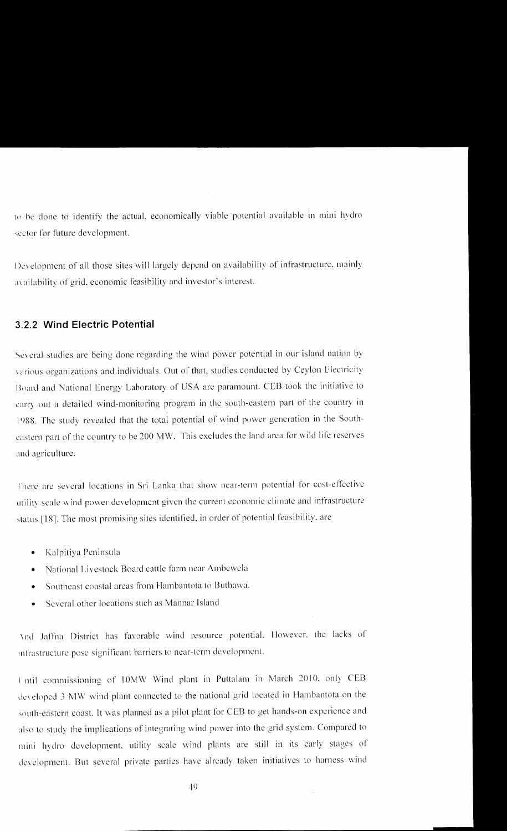to be done to identify the actual, economically viable potential available in mini hydro sector for future development.

Development of all those sites will largely depend on availability of infrastructure, mainly availability of grid. economic feasibility and investor's interest.

## **3.2.2 Wind Electric Potential**

Several studies are being done regarding the wind power potential in our island nation by 'arious organizations and individuals. Out of that, studies conducted by Ceylon Electricity Board and National Energy Laboratory of USA are paramount. CEB took the initiative to carry out a detailed wind-monitoring program in the south-eastern part of the country in 1988. The study revealed that the total potential of wind power generation in the Southeastern part of the country to be 200 MW. This excludes the land area for wild life reserves and agriculture.

There are several locations in Sri Lanka that show near-term potential for cost-effective utility scale wind povver development given the current economic climate and infrastructure status [18]. The most promising sites identified, in order of potential feasibility, are

- Kalpitiya Peninsula
- National Livestock Board cattle farm near Ambewela
- Southeast coastal areas from Hambantota to Buthawa.
- Several other locations such as Mannar Island

And Jaffna District has favorable wind resource potential. However, the lacks of 111lrastructure pose significant barriers to ncar-term development.

l ntil commissioning of JOMW Wind plant in Puttalam in March 2010. only CEI3 developed 3 MW wind plant connected to the national grid located in Hambantota on the south-eastern coast. It was planned as a pilot plant for CEB to get hands-on experience and also to study the implications of integrating wind power into the grid system. Compared to mini hydro development. utility scale wind plants are still in its early stages of development. But several private parties have already taken initiatives to harness wind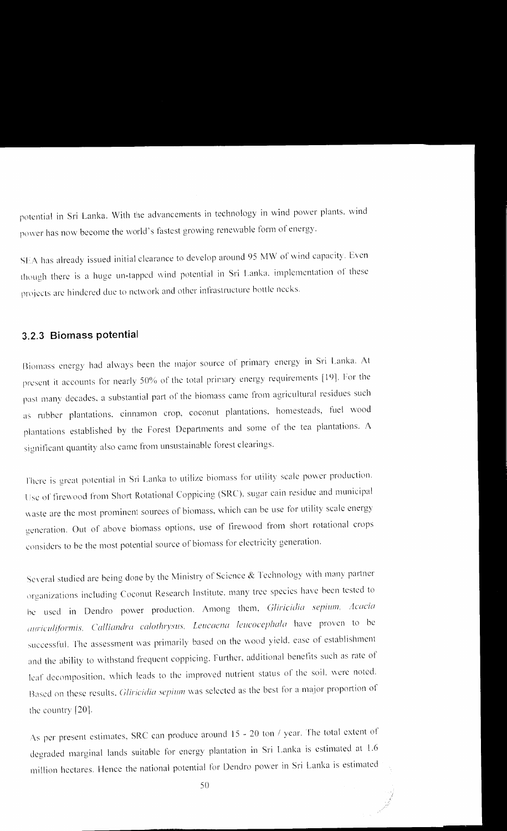potential in Sri Lanka. With the advancements in technology in wind power plants, wind power has now become the world's fastest growing renewable form of energy.

SEA has already issued initial clearance to develop around 95 MW of wind capacity. Even though there is a huge un-tapped wind potential in Sri Lanka. implementation of these projects are hindered due to network and other infrastructure bottle necks.

#### **3.2.3 Biomass potential**

Biomass energy had always been the major source of primary energy in Sri Lanka. At present it accounts for nearly 50% of the total primary energy requirements [19]. For the past many decades, a substantial part of the biomass came from agricultural residues such as rubber plantations. cinnamon crop, coconut plantations. homesteads. fuel wood plantations established by the Forest Depatiments and some of the tea plantations. A significant quantity also came from unsustainable forest clearings.

There is great potential in Sri Lanka to utilize biomass for utility scale power production. Use of firewood from Short Rotational Coppicing (SRC), sugar cain residue and municipal waste are the most prominent sources of biomass, which can be use for utility scale energy generation. Out of above biomass options, use of firevvood from short rotational crops considers to he the most potential source of biomass for electricity generation.

Several studied are being done by the Ministry of Science & Technology with many partner organizations including Coconut Research Institute. many tree species have been tested to be used in Dendro power production. Among them, *Gliricidia sepium*, Acacia auriculiformis. Calliandra calothrysus, Leucaena leucocephala have proven to be successful. The assessment was primarily based on the wood yield, ease of establishment and the ability to withstand frequent coppicing. Further. additional benefits such as rate of leaf decomposition, which leads to the improved nutrient status of the soil. were noted. Based on these results. *Gliricidio sepium* was selected as the best for a major proportion of the country [20].

As per present estimates, SRC can produce around 15 - 20 ton / year. The total extent of degraded marginal lands suitable for energy plantation in Sri Lanka is estimated at 1.6 million hectares. Hence the national potential for Dendro power in Sri Lanka is estimated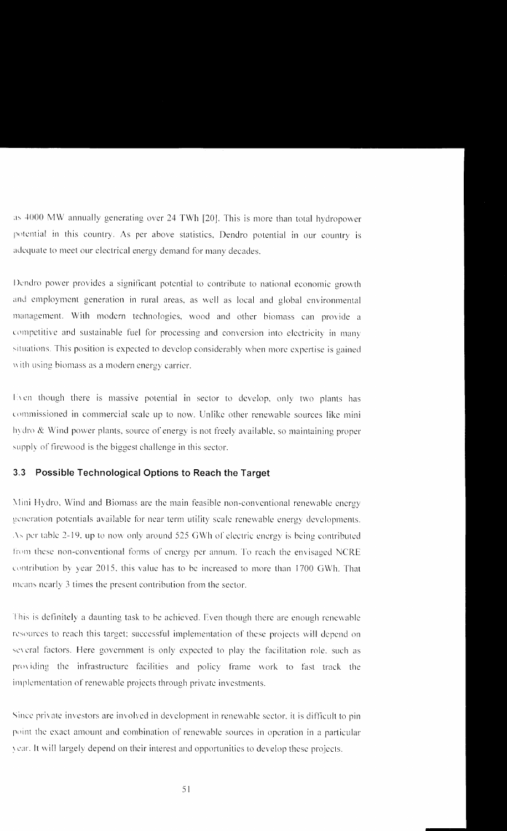as 4000 MW annually generating over 24 TWh [20]. This is more than total hydropower potential in this country. As per above statistics, Dendro potential in our country is adequate to meet our electrical energy demand for many decades.

Dendro power provides a significant potential to contribute to national economic growth and employment generation in rural areas, as well as local and global environmental management. With modern technologies, wood and other biomass can provide a competitive and sustainable fuel for processing and conversion into electricity in many situations. This position is expected to develop considerably when more expertise is gained with using biomass as a modern energy carrier.

Even though there is massive potential in sector to develop, only two plants has commissioned in commercial scale up to now. Unlike other renewable sources like mini hydro & Wind power plants, source of energy is not freely available, so maintaining proper supply of firewood is the biggest challenge in this sector.

#### $3.3$ Possible Technological Options to Reach the Target

Mini Hydro, Wind and Biomass are the main feasible non-conventional renewable energy generation potentials available for near term utility scale renewable energy developments. As per table 2-19, up to now only around 525 GWh of electric energy is being contributed from these non-conventional forms of energy per annum. To reach the envisaged NCRE contribution by year 2015, this value has to be increased to more than 1700 GWh. That means nearly 3 times the present contribution from the sector.

This is definitely a daunting task to be achieved. Even though there are enough renewable resources to reach this target; successful implementation of these projects will depend on several factors. Here government is only expected to play the facilitation role, such as providing the infrastructure facilities and policy frame work to fast track the implementation of renewable projects through private investments.

Since private investors are involved in development in renewable sector, it is difficult to pin point the exact amount and combination of renewable sources in operation in a particular year. It will largely depend on their interest and opportunities to develop these projects.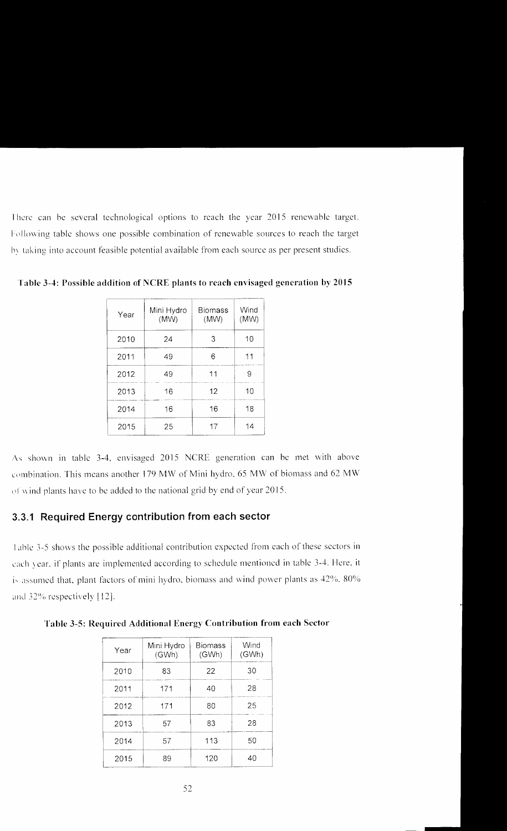There can be several technological options to reach the year 2015 renewable target. Following table shows one possible combination of renewable sources to reach the target by taking into account feasible potential available from each source as per present studies.

| Year | Mini Hydro<br>(MW) | <b>Biomass</b><br>(MW) | Wind<br>(MW) |
|------|--------------------|------------------------|--------------|
| 2010 | 24                 | 3                      | 10           |
| 2011 | 49                 | 6                      | 11           |
| 2012 | 49                 | 11                     | 9            |
| 2013 | 16                 | 12                     | 10           |
| 2014 | 16                 | 16                     | 18           |
| 2015 | 25                 | 17                     | 14           |

**Table 3-4: Possible addition of NCRE plants to reach envisaged generation by 2015** 

As shown in table 3-4, envisaged 2015 NCRE generation can be met with above combination. This means another 179 MW of Mini hydro, 65 MW of biomass and 62 MW of wind plants have to be added to the national grid by end of year 2015.

#### **3.3.1 Required Energy contribution from each sector**

Table 3-5 shows the possible additional contribution expected from each of these sectors in each year. if plants are implemented according to schedule mentioned in table 3-4. Here, it is assumed that, plant factors of mini hydro, biomass and wind power plants as  $42\%$ ,  $80\%$ and 32% respectively  $[12]$ .

| Year | Mini Hydro<br>(GWh) | <b>Biomass</b><br>(GWh) | Wind<br>(GWh) |
|------|---------------------|-------------------------|---------------|
| 2010 | 83                  | 22                      | 30            |
| 2011 | 171                 | 40                      | 28            |
| 2012 | 171                 | 80                      | 25            |
| 2013 | 57                  | 83                      | 28            |
| 2014 | 57                  | 113                     | 50            |
| 2015 | 89                  | 120                     | 40            |

**Table** 3-5: **Required Additional Energy Contribution from each Sector**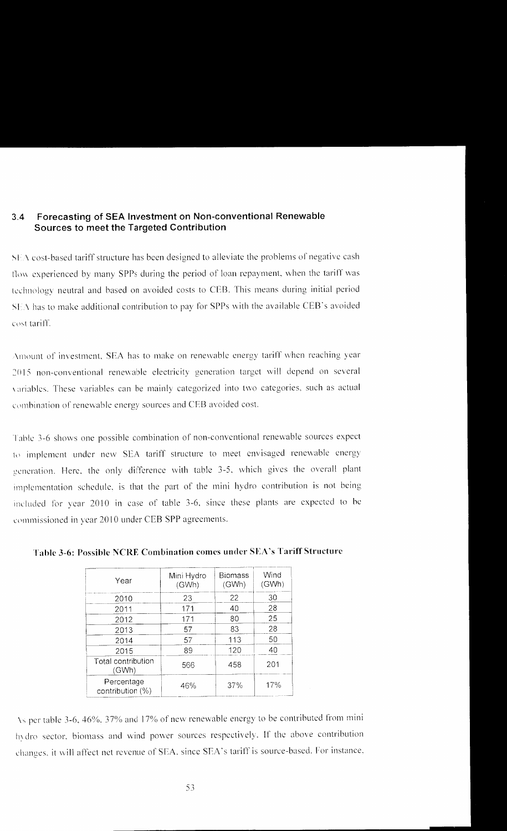## **3.4 Forecasting of SEA Investment on Non-conventional Renewable Sources to meet the Targeted Contribution**

\I \cost-based tariff structure has been designed to alleviate the problems of negative cash flow experienced by many SPPs during the period of loan repayment, when the tariff was technology neutral and based on avoided costs to CEB. This means during initial period SEA has to make additional contribution to pay for SPPs with the available CEB's avoided cost tariff.

Amount of investment. SEA has to make on renewable energy tariff when reaching year 2015 non-conventional renewable electricity generation target will depend on several variables. These variables can be mainly categorized into two categories, such as actual combination of renewable energy sources and CEB avoided cost.

Table 3-6 shows one possible combination of non-conventional renewable sources expect to implement under new SEA tariff structure to meet envisaged renewable energy generation. Here. the only difference with table 3-5. which gives the overall plant implementation schedule. is that the part of the mini hydro contribution is not being included for year 2010 in case of table 3-6, since these plants are expected to be commissioned in year 2010 under CEB SPP agreements.

| Year                           | Mini Hydro<br>(GWh) | <b>Biomass</b><br>(GWh) | Wind<br>(GWh) |
|--------------------------------|---------------------|-------------------------|---------------|
| 2010                           | 23                  | 22                      | 30            |
| 2011                           | 171                 | 40                      | 28            |
| 2012                           | 171                 | 80                      | 25            |
| 2013                           | 57                  | 83                      | 28            |
| 2014                           | 57                  | 113                     | 50            |
| 2015                           | 89                  | 120                     | 40            |
| Total contribution<br>(GWh)    | 566                 | 458                     | 201           |
| Percentage<br>contribution (%) | 46%                 | 37%                     | 17%           |

**Table 3-6: Possible NCRE Combination comes under SEA's Tariff Structure** 

\~per table 3-6. 46%. 37'% and 17% of new renewable energy to be contributed from mini hydro sector, biomass and wind power sources respectively. If the above contribution changes, it will affect net revenue of SEA, since SEA's tariff is source-based. For instance,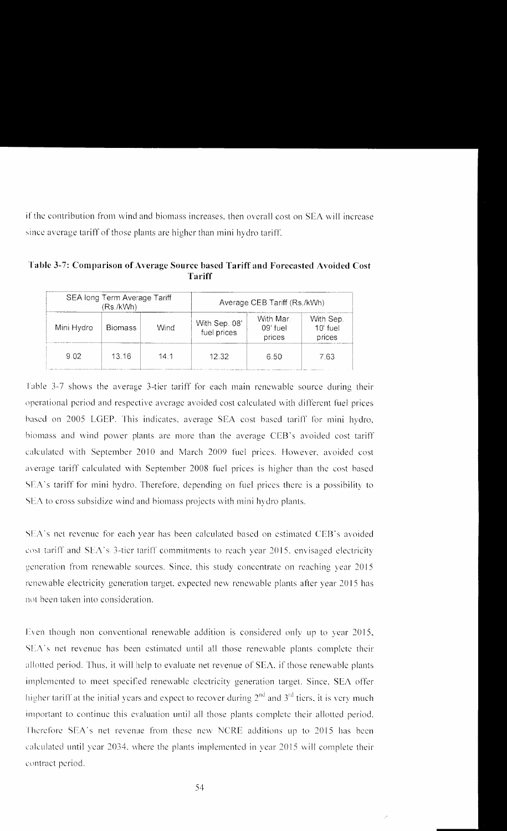if the contribution from wind and biomass increases, then overall cost on SEA will increase since average tariff of those plants are higher than mini hydro tariff.

| Table 3-7: Comparison of Average Source based Tariff and Forecasted Avoided Cost |  |
|----------------------------------------------------------------------------------|--|
| Tariff                                                                           |  |

| SEA long Term Average Tariff<br>(Rs./kWh) |                |      | Average CEB Tariff (Rs./kWh) |                                |                                   |  |
|-------------------------------------------|----------------|------|------------------------------|--------------------------------|-----------------------------------|--|
| Mini Hydro                                | <b>Biomass</b> | Wind | With Sep. 08'<br>fuel prices | With Mar<br>09' fuel<br>prices | With Sep.<br>$10'$ fuel<br>prices |  |
| 9.02                                      | 13 16          | 14 1 | 12.32                        | 6.50                           | 7 63                              |  |

Table 3-7 shows the average 3-tier tariff for each main renewable source during their operational period and respective average avoided cost calculated with different fuel prices based on 2005 LGEP. This indicates, average SEA cost based tariff for mini hydro, biomass and wind power plants are more than the average CEB's avoided cost tariff calculated with September 2010 and March 2009 fuel prices. However, avoided cost average tariff calculated with September 2008 fuel prices is higher than the cost based SEA's tariff for mini hydro. Therefore, depending on fuel prices there is a possibility to SEA to cross subsidize wind and biomass projects with mini hydro plants.

SEA's net revenue for each year has been calculated based on estimated CEB's avoided cost tariff and SEA's 3-tier tariff commitments to reach year 2015, envisaged electricity generation from renewable sources. Since, this study concentrate on reaching year 2015 renewable electricity generation target, expected new renewable plants after year 2015 has not been taken into consideration.

Even though non conventional renewable addition is considered only up to year 2015, SEA's net revenue has been estimated until all those renewable plants complete their allotted period. Thus, it will help to evaluate net revenue of SEA, if those renewable plants implemented to meet specified renewable electricity generation target. Since, SEA offer higher tariff at the initial years and expect to recover during  $2<sup>nd</sup>$  and  $3<sup>rd</sup>$  tiers, it is very much important to continue this evaluation until all those plants complete their allotted period. Therefore SEA's net revenue from these new NCRE additions up to 2015 has been calculated until year 2034, where the plants implemented in year 2015 will complete their contract period.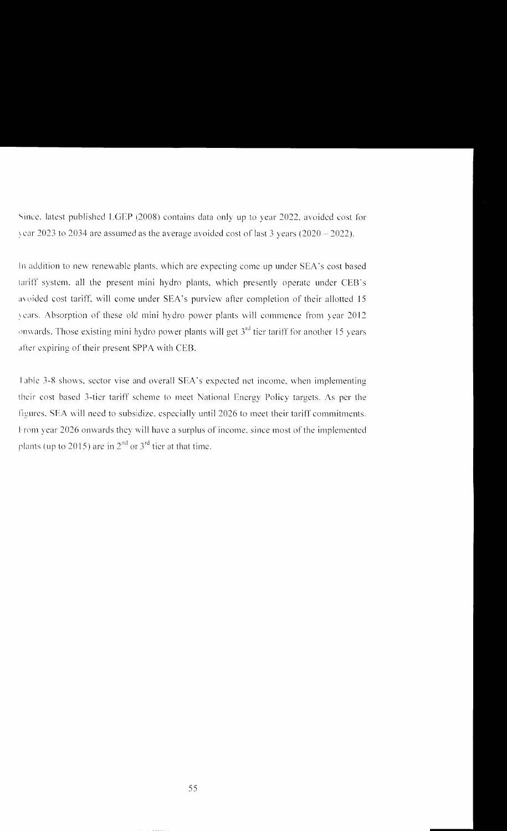Since. latest published LGEP (2008) contains data only up to year 2022, avoided cost for vear 2023 to 2034 are assumed as the average avoided cost of last 3 years  $(2020 - 2022)$ .

In addition to new renewable plants, which are expecting come up under SEA's cost based tariff system. all the present mini hydro plants, which presently operate under CEB"s avoided cost tariff, will come under SEA's purview after completion of their allotted 15 years. Absorption of these old mini hydro power plants will commence from year 2012 onwards. Those existing mini hydro power plants will get  $3<sup>rd</sup>$  tier tariff for another 15 years after expiring of their present SPPA with CEB.

I able 3-8 shows, sector vise and overall SEA's expected net income. \Vhcn implementing their cost based 3-tier tariff scheme to meet National Energy Policy targets. As per the figures. SEA will need to subsidize, especially until 2026 to meet their tariff commitments. From year 2026 onwards they will have a surplus of income, since most of the implemented plants (up to 2015) are in  $2<sup>nd</sup>$  or  $3<sup>rd</sup>$  tier at that time.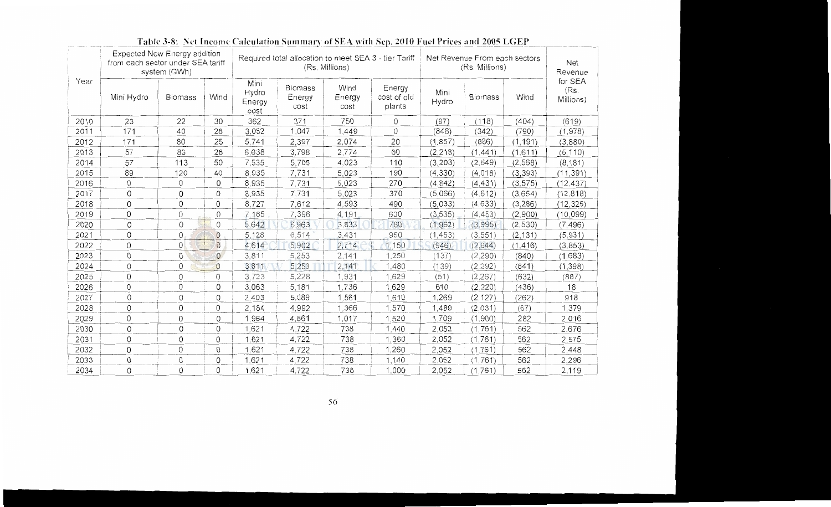|      | Expected New Energy addition<br>from each sector under SEA tariff | system (GWh)   |                |                                 | Required total allocation to meet SEA 3 - tier Tariff<br>Net Revenue From each sectors<br><b>Net</b><br>(Rs. Millions)<br>(Rs. Millions)<br>Revenue |                        |                                 |               |                |          |                              |
|------|-------------------------------------------------------------------|----------------|----------------|---------------------------------|-----------------------------------------------------------------------------------------------------------------------------------------------------|------------------------|---------------------------------|---------------|----------------|----------|------------------------------|
| Year | Mini Hydro                                                        | <b>Biomass</b> | Wind           | Mini<br>Hydro<br>Energy<br>cost | <b>Biomass</b><br>Energy<br>cost                                                                                                                    | Wind<br>Energy<br>cost | Energy<br>cost of old<br>plants | Mini<br>Hydro | <b>Biomass</b> | Wind     | for SEA<br>(Rs)<br>Millions) |
| 2010 | 23                                                                | 22             | 30             | 362                             | 371                                                                                                                                                 | 750                    | 0                               | (97)          | (118)          | (404)    | (619)                        |
| 2011 | 171                                                               | 40             | 28             | 3,052                           | 1,047                                                                                                                                               | 1,449                  | 0                               | (846)         | (342)          | (790)    | (1,978)                      |
| 2012 | 171                                                               | 80             | 25             | 5,741                           | 2,397                                                                                                                                               | 2,074                  | 20                              | (1, 857)      | (886)          | (1, 191) | (3,880)                      |
| 2013 | 57                                                                | 83             | 28             | 6,638                           | 3,798                                                                                                                                               | 2,774                  | 60                              | (2, 218)      | (1, 441)       | (1,611)  | (5, 110)                     |
| 2014 | 57                                                                | 113            | 50             | 7,535                           | 5,705                                                                                                                                               | 4,023                  | 110                             | (3, 203)      | (2,649)        | (2, 568) | (8, 181)                     |
| 2015 | 89                                                                | 120            | 40             | 8,935                           | 7,731                                                                                                                                               | 5,023                  | 190                             | (4, 330)      | (4, 018)       | (3, 393) | (11, 391)                    |
| 2016 | 0                                                                 | 0              | 0              | 8,935                           | 7,731                                                                                                                                               | 5,023                  | 270                             | (4, 842)      | (4, 431)       | (3, 575) | (12, 437)                    |
| 2017 | $\Omega$                                                          | 0              | $\Omega$       | 8,935                           | 7,731                                                                                                                                               | 5,023                  | 370                             | (5.066)       | (4, 612)       | (3,654)  | (12, 818)                    |
| 2018 | $\Omega$                                                          | 0              | 0              | 8,727                           | 7.612                                                                                                                                               | 4,593                  | 490                             | (5,033)       | (4, 633)       | (3, 286) | (12, 325)                    |
| 2019 | 0                                                                 | 0              | $\circ$        | 7,185                           | 7,396                                                                                                                                               | 4,191                  | 630                             | (3, 535)      | (4.453)        | (2,900)  | (10, 099)                    |
| 2020 | 0                                                                 | $\Omega$       | $\circ$        | 5,642                           | 6,963                                                                                                                                               | 3,833                  | 780                             | (1, 962)      | (3,995)        | (2, 530) | (7, 496)                     |
| 2021 | $\Omega$                                                          | 0              | $\overline{0}$ | 5,128                           | 6,514                                                                                                                                               | 3,431                  | 950                             | (1, 453)      | (3, 551)       | (2, 131) | (5, 931)                     |
| 2022 | 0                                                                 | 0              | $\circ$        | 4,614                           | 5,902                                                                                                                                               | 2,714                  | 1,150                           | (946)         | (2.944)        | (1, 416) | (3, 853)                     |
| 2023 | 0                                                                 | 0              | $\overline{0}$ | 3,811                           | 5,253                                                                                                                                               | 2,141                  | 1,250                           | (137)         | (2, 290)       | (840)    | (1,683)                      |
| 2024 | 0                                                                 | 0              | $\circ$        | 3,811                           | 5,253                                                                                                                                               | 2,141                  | 1,480                           | (139)         | (2.292)        | (841)    | (1, 398)                     |
| 2025 | 0                                                                 | 0              | 0              | 3.723                           | 5,228                                                                                                                                               | 1,931                  | 1,629                           | (51)          | (2, 267)       | (632)    | (887)                        |
| 2026 | $\mathbf 0$                                                       | 0              | 0              | 3,063                           | 5,181                                                                                                                                               | 1,736                  | 1,629                           | 610           | (2, 220)       | (436)    | 18                           |
| 2027 | 0                                                                 | 0              | $\mathbf 0$    | 2,403                           | 5,089                                                                                                                                               | 1,561                  | 1,610                           | 1,269         | (2, 127)       | (262)    | 918                          |
| 2028 | 0                                                                 | 0              | 0              | 2,184                           | 4.992                                                                                                                                               | 1,366                  | 1,570                           | 1,489         | (2,031)        | (67)     | 1,379                        |
| 2029 | 0                                                                 | 0              | 0              | 1,964                           | 4,861                                                                                                                                               | 1,017                  | 1,520                           | 1,709         | (1,900)        | 282      | 2,016                        |
| 2030 | 0                                                                 | 0              | 0              | 1,621                           | 4,722                                                                                                                                               | 738                    | 1,440                           | 2,052         | (1, 761)       | 562      | 2,676                        |
| 2031 | $\Omega$                                                          | 0              | 0              | 1,621                           | 4,722                                                                                                                                               | 738                    | 1,360                           | 2,052         | (1,761)        | 562      | 2,575                        |
| 2032 | 0                                                                 | 0              | 0              | 1,621                           | 4,722                                                                                                                                               | 738                    | 1,260                           | 2,052         | (1,761)        | 562      | 2,448                        |
| 2033 | 0                                                                 | 0              | 0              | 1,621                           | 4,722                                                                                                                                               | 738                    | 1,140                           | 2,052         | (1.761)        | 562      | 2,296                        |
| 2034 | 0                                                                 | 0              | 0              | 1,621                           | 4,722                                                                                                                                               | 738                    | 1,000                           | 2,052         | (1.761)        | 562      | 2.119                        |

# Table 3-8: Net Income Calculation Summary of SEA with Sep. 2010 Fuel Prices and 2005 LGEP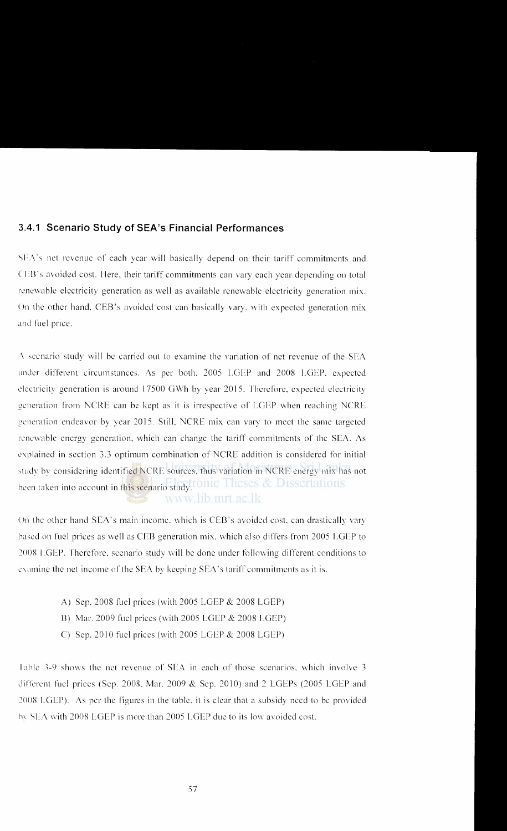## **3.4.1 Scenario Study of SEA's Financial Performances**

SEA's net revenue of each year will basically depend on their tariff commitments and (EB's avoided cost. Here, their tariff commitments can vary each year depending on total renewable electricity generation as well as available renewable electricity generation mix. On the other hand, CEB's avoided cost can basically vary, with expected generation mix and fuel price.

 $\Lambda$  scenario study will be carried out to examine the variation of net revenue of the SEA under different circumstances. As per both. 2005 LGLP and 2008 LGEP. expected c lectricity generation is around 17500 GWh by year 2015. Therefore, expected electricity generation from NCRE can be kept as it is irrespective of LGEP when reaching NCRE generation endeavor by year 2015. Still. NCRE mix can vary to meet the same targeted renewable energy generation, which can change the tariff commitments of the SEA. As explained in section 3.3 optimum combination of NCRE addition is considered for initial study by considering identified NCRE sources, thus variation in NCRE energy mix has not been taken into account in this scenario study. Theses & Dissertations www.lib.mrt.ac.lk

On the other hand SEA's main income, which is CEB's avoided cost, can drastically vary based on fuel prices as well as CEB generation mix. vvhich also differs from 2005 LGEP to 2008 LGEP. Therefore, scenario study will be done under following different conditions to examine the net income of the SEA by keeping SEA's tariff commitments as it is.

- A) Sep. 2008 fuel prices (with 2005 LGEP & 2008 LGEP)
- B) Mar. 2009 fuel prices (with 2005 LGEP & 2008 I.GEP)
- C) Scp. 2010 fuel prices (with 2005 LGEP & 2008 LGEP)

Table 3-9 shows the net revenue of SEA in each of those scenarios, which involve 3 different fuel prices (Sep. 2008, Mar. 2009  $\&$  Sep. 2010) and 2 LGEPs (2005 LGEP and 2008 LGEP). As per the figures in the table. it is clear that a subsidy need to be provided by SEA with 2008 LGEP is more than 2005 LGEP due to its low avoided cost.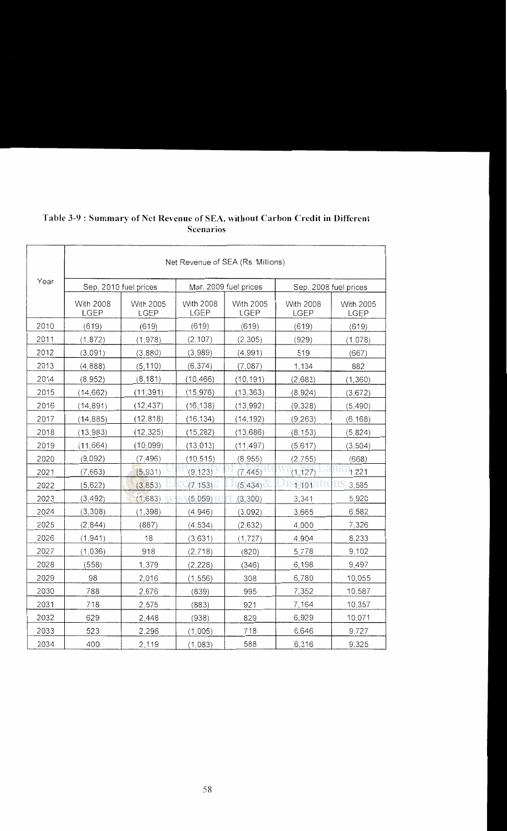|      | Net Revenue of SEA (Rs. Millions) |                   |                                 |                                 |                                 |                          |  |  |
|------|-----------------------------------|-------------------|---------------------------------|---------------------------------|---------------------------------|--------------------------|--|--|
| Year | Sep. 2010 fuel prices             |                   |                                 | Mar. 2009 fuel prices           | Sep. 2008 fuel prices           |                          |  |  |
|      | <b>With 2008</b><br>LGEP          | With 2005<br>LGEP | <b>With 2008</b><br><b>LGEP</b> | <b>With 2005</b><br><b>LGEP</b> | <b>With 2008</b><br><b>LGEP</b> | With 2005<br><b>LGEP</b> |  |  |
| 2010 | (619)                             | (619)             | (619)                           | (619)                           | (619)                           | (619)                    |  |  |
| 2011 | (1, 872)                          | (1,978)           | (2, 107)                        | (2, 305)                        | (929)                           | (1,078)                  |  |  |
| 2012 | (3,091)                           | (3,880)           | (3,989)                         | (4,991)                         | 519                             | (667)                    |  |  |
| 2013 | (4,888)                           | (5, 110)          | (6, 374)                        | (7,087)                         | 1,134                           | 882                      |  |  |
| 2014 | (8, 952)                          | (8, 181)          | (10.466)                        | (10, 191)                       | (2,683)                         | (1,360)                  |  |  |
| 2015 | (14, 662)                         | (11, 391)         | (15, 976)                       | (13, 363)                       | (8,924)                         | (3,672)                  |  |  |
| 2016 | (14, 891)                         | (12, 437)         | (16, 138)                       | (13,992)                        | (9,328)                         | (5, 490)                 |  |  |
| 2017 | (14, 885)                         | (12, 818)         | (16, 134)                       | (14, 192)                       | (9, 263)                        | (6, 168)                 |  |  |
| 2018 | (13, 983)                         | (12, 325)         | (15, 282)                       | (13, 686)                       | (8, 153)                        | (5,824)                  |  |  |
| 2019 | (11, 664)                         | (10, 099)         | (13, 013)                       | (11, 497)                       | (5,617)                         | (3, 504)                 |  |  |
| 2020 | (9,092)                           | (7, 496)          | (10, 515)                       | (8, 955)                        | (2, 755)                        | (668)                    |  |  |
| 2021 | (7,663)                           | (5,931)           | (9, 123)                        | (7, 445)                        | (1, 127)                        | 1,221                    |  |  |
| 2022 | (5,622)                           | (3, 853)          | (7, 153)                        | (5, 434)                        | 1,101                           | 3,585                    |  |  |
| 2023 | (3, 492)                          | (1,683)           | (5,059)                         | (3,300)                         | 3,341                           | 5,920                    |  |  |
| 2024 | (3,308)                           | (1, 398)          | (4,946)                         | (3,092)                         | 3,665                           | 6,582                    |  |  |
| 2025 | (2,844)                           | (887)             | (4, 534)                        | (2,632)                         | 4,000                           | 7,326                    |  |  |
| 2026 | (1, 941)                          | 18                | (3,631)                         | (1, 727)                        | 4.904                           | 8,233                    |  |  |
| 2027 | (1,036)                           | 918               | (2,718)                         | (820)                           | 5,778                           | 9,102                    |  |  |
| 2028 | (558)                             | 1,379             | (2, 228)                        | (346)                           | 6,198                           | 9,497                    |  |  |
| 2029 | 98                                | 2,016             | (1, 556)                        | 308                             | 6,780                           | 10,055                   |  |  |
| 2030 | 788                               | 2,676             | (839)                           | 995                             | 7,352                           | 10,587                   |  |  |
| 2031 | 718                               | 2,575             | (883)                           | 921                             | 7,164                           | 10,357                   |  |  |
| 2032 | 629                               | 2,448             | (938)                           | 829                             | 6,929                           | 10,071                   |  |  |
| 2033 | 523                               | 2,296             | (1,005)                         | 718                             | 6,646                           | 9,727                    |  |  |
| 2034 | 400                               | 2,119             | (1,083)                         | 588                             | 6,316                           | 9,325                    |  |  |

## **Table 3-9 : Summary of Net Revenue of SEA, without Carbon Credit in Different Scenarios**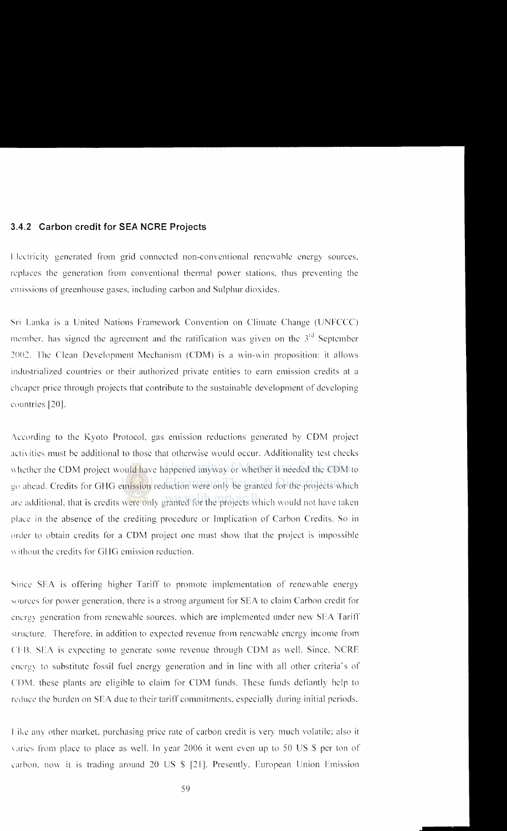#### **3.4.2 Carbon credit for SEA NCRE Projects**

Electricity generated from grid connected non-conventional renewable energy sources. replaces the generation from conventional thermal power stations. thus preventing the emissions of greenhouse gases, including carbon and Sulphur dioxides.

Sri Lanka is a United Nations Framework Convention on Climate Change (UNFCCC) member, has signed the agreement and the ratification was given on the  $3<sup>rd</sup>$  September 2002. The Clean Development Mechanism (CDM) is a win-win proposition: it allows industrialized countries or their authorized private entities to earn emission credits at a cheaper price through projects that contribute to the sustainable development of developing countries [20].

According to the Kyoto Protocol, gas emission reductions generated by CDM project activities must be additional to those that otherwise would occur. Additionality test checks whether the CDM project would have happened anyway or whether it needed the CDM to go ahead. Credits for GHG emission reduction were only be granted for the projects which are additional, that is credits were only granted for the projects which would not have taken place in the absence or the crediting procedure or Implication of Carbon Credits. So in order to obtain credits for a CDM project one must show that the project is impossible without the credits for GHG emission reduction.

Since SEA is offering higher Tariff to promote implementation of renewable energy sources for power generation, there is a strong argument for SEA to claim Carbon credit for cncrg) generation from renewable sources. which are implemented under new SEA Tariff structure. Therefore, in addition to expected revenue from renewable energy income from CFB. SEA is expecting to generate some revenue through CDM as well. Since, NCRE energy to substitute fossil fuel energy generation and in line with all other criteria's of CDM. these plants are eligible to claim for COM funds. These funds defiantly help to reduce the burden on SEA due to their tariff commitments. especially during initial periods.

I ike any other market. purchasing price rate of carbon credit is very much volatile: also it varies from place to place as well. In year 2006 it went even up to 50 US \$ per ton of carbon. now it is trading around 20 US  $\frac{1}{2}$  [21]. Presently, European Union Emission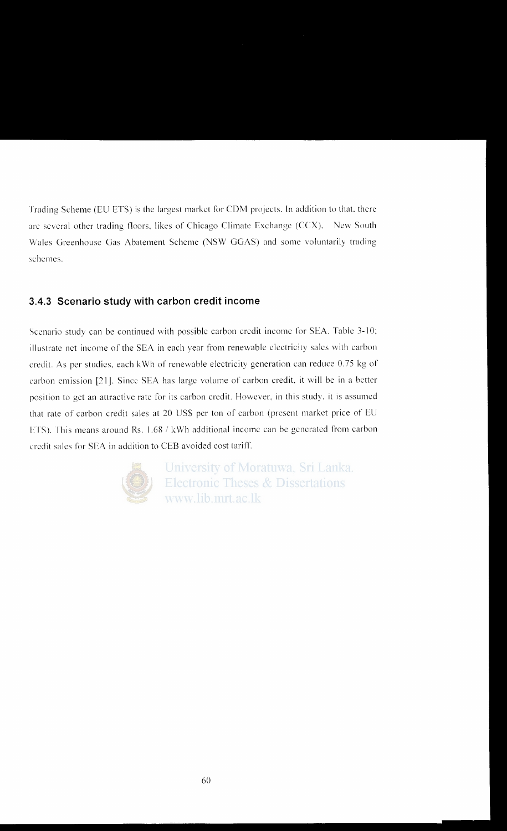Trading Scheme (EU ETS) is the largest market for COM projects. In addition to that. there are several other trading floors, likes of Chicago Climate Exchange (CCX), New South Wales Greenhouse Gas Abatement Scheme (NSW GGAS) and some voluntarily trading schemes.

# **3.4.3 Scenario study with carbon credit income**

Scenario study can be continued with possible carbon credit income for SEA. Table 3-10; illustrate net income of the SEA in each year from renewable electricity sales with carbon credit. As per studies, each kWh of renewable electricity generation can reduce 0.75 kg of carbon emission [21J. Since SEA has large volume of carbon credit. it will be in a better position to get an attractive rate for its carbon credit. However. in this study. it is assumed that rate of carbon credit sales at 20 US\$ per ton of carbon (present market price of EU ETS). This means around Rs. 1.68 / kWh additional income can be generated from carbon credit sales for SEA in addition to CEB avoided cost tariff.



University of Moratuwa, Sri Lanka. **Electronic Theses & Dissertations** www.lib.mrt.ac.lk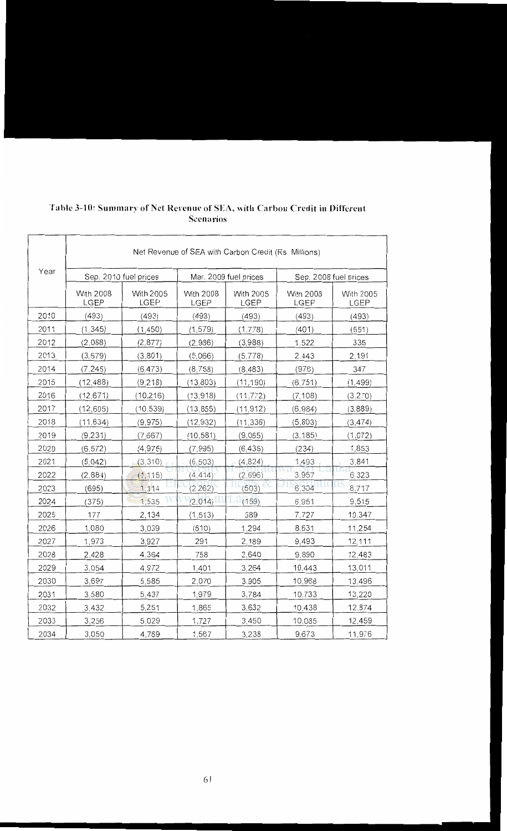|      | Net Revenue of SEA with Carbon Credit (Rs. Millions) |                                                |                          |                          |                       |                   |  |
|------|------------------------------------------------------|------------------------------------------------|--------------------------|--------------------------|-----------------------|-------------------|--|
| Year |                                                      | Mar. 2009 fuel prices<br>Sep. 2010 fuel prices |                          |                          | Sep. 2008 fuel prices |                   |  |
|      | <b>With 2008</b><br>LGEP                             | <b>With 2005</b><br><b>LGEP</b>                | <b>With 2008</b><br>LGEP | <b>With 2005</b><br>LGEP | With 2008<br>LGEP     | With 2005<br>LGEP |  |
| 2010 | (493)                                                | (493)                                          | (493)                    | (493)                    | (493)                 | (493)             |  |
| 2011 | (1, 345)                                             | (1, 450)                                       | (1, 579)                 | (1,778)                  | (401)                 | (551)             |  |
| 2012 | (2,088)                                              | (2,877)                                        | (2,986)                  | (3,988)                  | 1,522                 | 335               |  |
| 2013 | (3, 579)                                             | (3,801)                                        | (5,066)                  | (5,778)                  | 2,443                 | 2,191             |  |
| 2014 | (7, 245)                                             | (6, 473)                                       | (8,758)                  | (8, 483)                 | (976)                 | 347               |  |
| 2015 | (12, 488)                                            | (9,218)                                        | (13, 803)                | (11, 190)                | (6, 751)              | (1, 499)          |  |
| 2016 | (12, 671)                                            | (10, 216)                                      | (13, 918)                | (11, 772)                | (7, 108)              | (3,270)           |  |
| 2017 | (12, 605)                                            | (10, 539)                                      | (13, 855)                | (11, 912)                | (6,984)               | (3,889)           |  |
| 2018 | (11, 634)                                            | (9, 975)                                       | (12, 932)                | (11, 336)                | (5,803)               | (3, 474)          |  |
| 2019 | (9, 231)                                             | (7,667)                                        | (10, 581)                | (9,065)                  | (3, 185)              | (1,072)           |  |
| 2020 | (6, 572)                                             | (4, 975)                                       | (7, 995)                 | (6, 435)                 | (234)                 | 1,853             |  |
| 2021 | (5,042)                                              | (3, 310)                                       | (6, 503)                 | (4, 824)                 | 1,493                 | 3,841             |  |
| 2022 | (2,884)                                              | (1, 115)                                       | (4, 414)                 | (2,696)                  | 3,957                 | 6,323             |  |
| 2023 | (695)                                                | 1,114                                          | (2, 262)                 | (503)                    | 6,304                 | 8,717             |  |
| 2024 | (375)                                                | 1,535                                          | (2,014)                  | (159)                    | 6,951                 | 9,515             |  |
| 2025 | 177                                                  | 2,134                                          | (1, 513)                 | 389                      | 7,727                 | 10,347            |  |
| 2026 | 1,080                                                | 3,039                                          | (610)                    | 1,294                    | 8,631                 | 11,254            |  |
| 2027 | 1,973                                                | 3,927                                          | 291                      | 2,189                    | 9,493                 | 12,111            |  |
| 2028 | 2,428                                                | 4,364                                          | 758                      | 2,640                    | 9,890                 | 12,483            |  |
| 2029 | 3,054                                                | 4,972                                          | 1,401                    | 3,264                    | 10,443                | 13,011            |  |
| 2030 | 3,697                                                | 5,585                                          | 2,070                    | 3,905                    | 10,968                | 13,496            |  |
| 2031 | 3,580                                                | 5,437                                          | 1,979                    | 3,784                    | 10,733                | 13,220            |  |
| 2032 | 3,432                                                | 5,251                                          | 1,865                    | 3,632                    | 10,438                | 12,874            |  |
| 2033 | 3,256                                                | 5,029                                          | 1,727                    | 3,450                    | 10,085                | 12,459            |  |
| 2034 | 3,050                                                | 4,769                                          | 1,567                    | 3,238                    | 9,673                 | 11,976            |  |

#### **Table 3-10: Summary of Net Revenue of SEA, with Carbon Credit in Different Scenarios**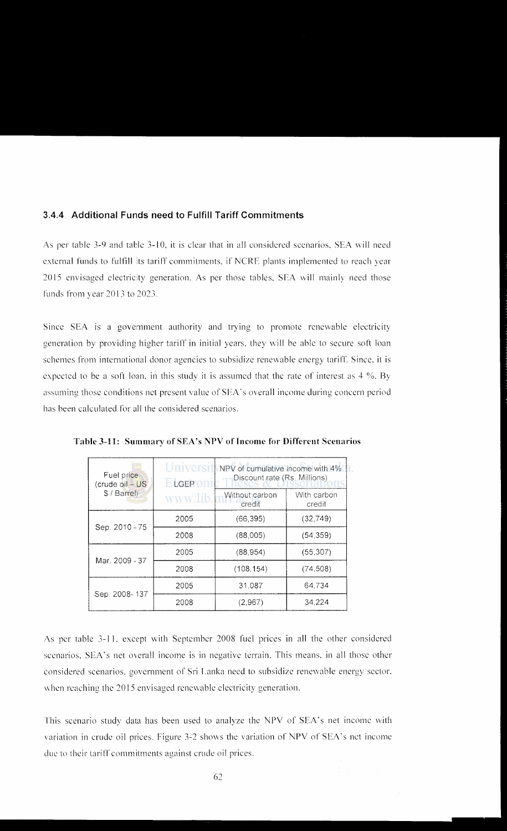#### **3.4.4 Additional Funds need to Fulfill Tariff Commitments**

As per table 3-9 and table 3-10, it is clear that in all considered scenarios, SEA will need external funds to fulfill its tariff commitments. if NCRE plants implemented to reach year 2015 envisaged electricity generation. As per those tables. SEA will mainly need those funds from vear 2013 to 2023.

Since SEA is a government authority and trying to promote renewable electricity generation by providing higher tariff in initial years, they will be able to secure soft loan schemes from international donor agencies to subsidize renewable energy tariff. Since. it is expected to be a soft loan, in this study it is assumed that the rate of interest as  $4\%$ . By assuming those conditions net present value of SEA's overall income during concern period has been calculated for all the considered scenarios.

| Fuel price<br>(crude oil - US)<br>\$ / Barrel) | Universit<br>ELGEPON<br>www.lib. |            | NPV of cumulative income with 4%<br>Discount rate (Rs. Millions)<br>With carbon<br>credit |
|------------------------------------------------|----------------------------------|------------|-------------------------------------------------------------------------------------------|
|                                                | 2005                             | (66, 395)  | (32,749)                                                                                  |
| Sep. 2010 - 75                                 | 2008                             | (88,005)   | (54, 359)                                                                                 |
| Mar. 2009 - 37                                 | 2005                             | (88, 954)  | (55, 307)                                                                                 |
|                                                | 2008                             | (108, 154) | (74, 508)                                                                                 |
|                                                | 2005                             | 31.087     | 64.734                                                                                    |
| Sep. 2008-137                                  | 2008                             | (2,967)    | 34.224                                                                                    |

**Table 3-11: Summary of SEA's NPV of Income for Different Scenarios** 

As per table 3-11, except with September 2008 fuel prices in all the other considered scenarios. SEA's net overall income is in negative terrain. This means. in all those other considered scenarios. government of Sri Lanka need to subsidize renewable energy sector. when reaching the 2015 envisaged renewable electricity generation.

This scenario study data has been used to analyze the NPV of SEA's net income with variation in crude oil prices. Figure 3-2 shows the variation of NPV of SEA's net income due to their tariff commitments against crude oil prices.